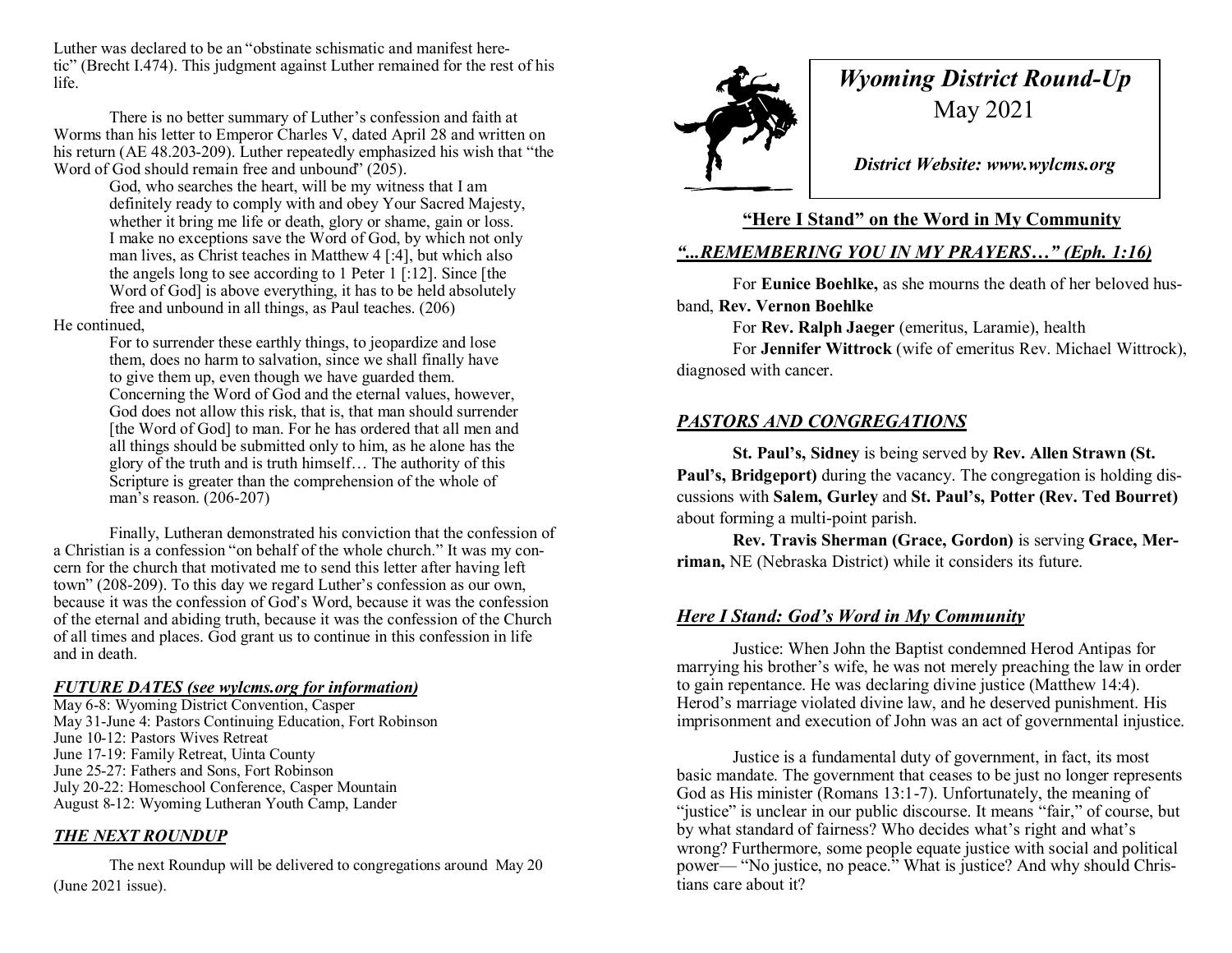Luther was declared to be an "obstinate schismatic and manifest heretic" (Brecht I.474). This judgment against Luther remained for the rest of his life.

There is no better summary of Luther's confession and faith at Worms than his letter to Emperor Charles V, dated April 28 and written on his return (AE 48.203-209). Luther repeatedly emphasized his wish that "the Word of God should remain free and unbound" (205).

> God, who searches the heart, will be my witness that I am definitely ready to comply with and obey Your Sacred Majesty, whether it bring me life or death, glory or shame, gain or loss. I make no exceptions save the Word of God, by which not only man lives, as Christ teaches in Matthew 4 [:4], but which also the angels long to see according to 1 Peter 1 [:12]. Since [the Word of God] is above everything, it has to be held absolutely free and unbound in all things, as Paul teaches. (206)

#### He continued,

For to surrender these earthly things, to jeopardize and lose them, does no harm to salvation, since we shall finally have to give them up, even though we have guarded them. Concerning the Word of God and the eternal values, however, God does not allow this risk, that is, that man should surrender [the Word of God] to man. For he has ordered that all men and all things should be submitted only to him, as he alone has the glory of the truth and is truth himself… The authority of this Scripture is greater than the comprehension of the whole of man's reason. (206-207)

Finally, Lutheran demonstrated his conviction that the confession of a Christian is a confession "on behalf of the whole church." It was my concern for the church that motivated me to send this letter after having left town" (208-209). To this day we regard Luther's confession as our own, because it was the confession of God's Word, because it was the confession of the eternal and abiding truth, because it was the confession of the Church of all times and places. God grant us to continue in this confession in life and in death.

#### *FUTURE DATES (see wylcms.org for information)*

May 6-8: Wyoming District Convention, Casper May 31-June 4: Pastors Continuing Education, Fort Robinson June 10-12: Pastors Wives Retreat June 17-19: Family Retreat, Uinta County June 25-27: Fathers and Sons, Fort Robinson July 20-22: Homeschool Conference, Casper Mountain August 8-12: Wyoming Lutheran Youth Camp, Lander

#### *THE NEXT ROUNDUP*

The next Roundup will be delivered to congregations around May 20 (June 2021 issue).



# *Wyoming District Round-Up* May 2021

*District Website: www.wylcms.org*

## **"Here I Stand" on the Word in My Community**

# *"...REMEMBERING YOU IN MY PRAYERS…" (Eph. 1:16)*

For **Eunice Boehlke,** as she mourns the death of her beloved husband, **Rev. Vernon Boehlke**

For **Rev. Ralph Jaeger** (emeritus, Laramie), health

For **Jennifer Wittrock** (wife of emeritus Rev. Michael Wittrock), diagnosed with cancer.

## *PASTORS AND CONGREGATIONS*

**St. Paul's, Sidney** is being served by **Rev. Allen Strawn (St. Paul's, Bridgeport)** during the vacancy. The congregation is holding discussions with **Salem, Gurley** and **St. Paul's, Potter (Rev. Ted Bourret)**  about forming a multi-point parish.

**Rev. Travis Sherman (Grace, Gordon)** is serving **Grace, Merriman,** NE (Nebraska District) while it considers its future.

### *Here I Stand: God's Word in My Community*

Justice: When John the Baptist condemned Herod Antipas for marrying his brother's wife, he was not merely preaching the law in order to gain repentance. He was declaring divine justice (Matthew 14:4). Herod's marriage violated divine law, and he deserved punishment. His imprisonment and execution of John was an act of governmental injustice.

Justice is a fundamental duty of government, in fact, its most basic mandate. The government that ceases to be just no longer represents God as His minister (Romans 13:1-7). Unfortunately, the meaning of "justice" is unclear in our public discourse. It means "fair," of course, but by what standard of fairness? Who decides what's right and what's wrong? Furthermore, some people equate justice with social and political power— "No justice, no peace." What is justice? And why should Christians care about it?